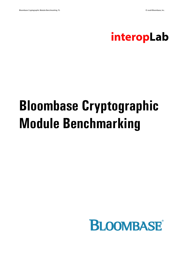

# **Bloombase Cryptographic Module Benchmarking**

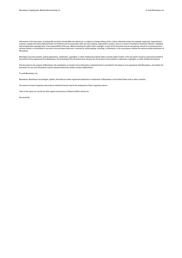Information in this document, including URL and other Internet Web site references, is subject to change without notice. Unless otherwise noted, the example companies, organizations, products, people and events depicted herein are fictitious and no association with any real company, organization, product, person or event is intended or should be inferred. Complying with all applicable copyright laws is the responsibility of the user. Without limiting the rights under copyright, no part of this document may be reproduced, stored in or introduced into a retrieval system, or transmitted in any form or by any means (electronic, mechanical, photocopying, recording, or otherwise), or for any purpose, without the express written permission of Bloombase.

Bloombase may have patents, patent applications, trademarks, copyrights, or other intellectual property rights covering subject matter in this document. Except as expressly provided in any written license agreement from Bloombase, the furnishing of this document does not give you any license to these patents, trademarks, copyrights, or other intellectual property.

This document is the property of Bloombase. No exploitation or transfer of any information contained herein is permitted in the absence of an agreement with Bloombase, and neither the document nor any such information may be released without the written consent of Bloombase.

#### © 2008 Bloombase, Inc.

Bloombase, Bloombase Technologies, Spitfire, StoreSafe are either registered trademarks or trademarks of Bloombase in the United States and/or other countries.

The names of actual companies and products mentioned herein may be the trademarks of their respective owners.

Tests in this report are carried out with support and sponsor of Advanced Micro Device Inc.

Document No.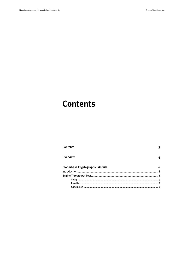## <span id="page-2-0"></span>**Contents**

| <b>Contents</b>                       |    |
|---------------------------------------|----|
| Overview                              |    |
| <b>Bloombase Cryptographic Module</b> |    |
|                                       |    |
|                                       |    |
|                                       |    |
|                                       | 8. |
|                                       |    |
|                                       |    |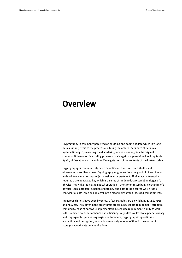### <span id="page-3-0"></span>**Overview**

Cryptography is commonly perceived as shuffling and coding of data which is wrong. Data shuffling refers to the process of altering the order of sequence of data in a systematic way. By reversing the disordering process, one regains the original contents. Obfuscation is a coding process of data against a pre-defined look-up table. Again, obfuscation can be undone if one gets hold of the contents of the look-up table.

Cryptography is comparatively much complicated than both data shuffle and obfuscation described above. Cryptography originates from the good old idea of keyand-lock to secure precious objects inside a compartment. Similarly, cryptography requires a pre-generated key which is a series of random data resembling ridges of a physical key while the mathematical operation – the cipher, resembling mechanics of a physical lock, a transfer function of both key and data-to-be-secured which turns confidential data (precious objects) into a meaningless vault (secured compartment).

Numerous ciphers have been invented, a few examples are Blowfish, RC2, DES, 3DES and AES, etc. They differ in the algorithmic process, key length requirement, strength, complexity, ease of hardware implementation, resource requirement, ability to work with streamed data, performance and efficiency. Regardless of level of cipher efficiency and cryptographic processing engine performance, cryptographic operations – encryption and decryption, must add a relatively amount of time in the course of storage network data communications.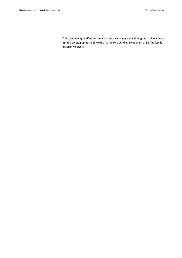This document quantifies and summarizes the cryptographic throughput of Bloombase Spitfire Cryptographic Module which is the core building component of Spitfire family of security servers.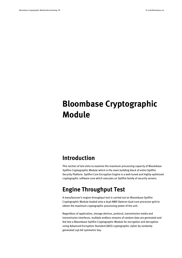# <span id="page-5-0"></span>**Bloombase Cryptographic Module**

#### <span id="page-5-1"></span>**Introduction**

This section of test aims to examine the maximum processing capacity of Bloombase Spitfire Cryptographic Module which is the main building block of entire Spitfire Security Platform. Spitfire Core Encryption Engine is a well-tuned and highly-optimized cryptographic software core which executes on Spitfire family of security servers.

#### <span id="page-5-2"></span>**Engine Throughput Test**

A manufacturer's engine throughput test is carried out on Bloombase Spitfire Cryptographic Module loaded onto a dual-AMD Opteron dual-core processor grid to obtain the maximum cryptographic processing power of the unit.

Regardless of application, storage devices, protocol, transmission media and transmission interfaces, multiple endless streams of random data are generated and fed into a Bloombase Spitfire Cryptographic Module for encryption and decryption using Advanced Encryption Standard (AES) cryptographic cipher by randomly generated 256-bit symmetric key.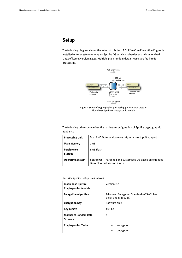#### <span id="page-6-0"></span>**Setup**

The following diagram shows the setup of this test. A Spitfire Core Encryption Engine is installed onto a system running on Spitfire OS which is a hardened and customized Linux of kernel version 2.6.11. Multiple plain random data streams are fed into for processing.





The following table summarizes the hardware configuration of Spitfire cryptographic appliance

| <b>Processing Unit</b>        | Dual AMD Opteron dual-core 265 with true 64-bit support                                     |
|-------------------------------|---------------------------------------------------------------------------------------------|
| <b>Main Memory</b>            | 2 GB                                                                                        |
| Persistence<br><b>Storage</b> | 4 GB Flash                                                                                  |
| <b>Operating System</b>       | Spitfire OS - Hardened and customized OS based on embeded<br>Linux of kernel version 2.6.11 |

Security specific setup is as follows

| <b>Bloombase Spitfire</b><br><b>Cryptographic Module</b> | Version 2.0                                                              |
|----------------------------------------------------------|--------------------------------------------------------------------------|
| <b>Encryption Algorithm</b>                              | Advanced Encryption Standard (AES) Cipher<br><b>Block Chaining (CBC)</b> |
| <b>Encryption Key</b>                                    | Software only                                                            |
| <b>Key Length</b>                                        | $256-bit$                                                                |
| <b>Number of Random Data</b><br><b>Streams</b>           | 4                                                                        |
| <b>Cryptographic Tasks</b>                               | encryption<br>decryption<br>٠                                            |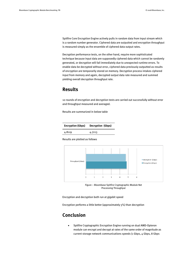Spitfire Core Encryption Engine actively pulls in random data from input stream which is a random number generator. Ciphered data are outputted and encryption throughput is measured simply as the ensemble of ciphered data output rates.

Decryption performance tests, on the other hand, require more sophisticated technique because input data are supposedly ciphered data which cannot be randomly generated, or decryption will fail immediately due to unexpected runtime errors. To enable data be decrypted without error, ciphered data previously outputted as results of encryption are temporarily stored on memory. Decryption process intakes ciphered input from memory and again, decrypted output data rate measured and summed yielding overall decryption throughput rate.

#### <span id="page-7-0"></span>**Results**

10 rounds of encryption and decryption tests are carried out successfully without error and throughput measured and averaged.

Results are summarized in below table

| Decryption (Gbps) |
|-------------------|
| 4.7213            |
|                   |

Results are plotted as follows



Figure – Bloombase Spitfire Cryptographic Module Net Processing Throughput

Encryption and decryption both run at gigabit speed

<span id="page-7-1"></span>Encryption performs a little better (approximately 5%) than decryption

#### **Conclusion**

 Spitfire Cryptographic Encryption Engine running on dual AMD-Opteron module can encrypt and decrypt at rates of the same order of magnitude as current storage network communications speeds (1 Gbps, 4 Gbps, 8 Gbps